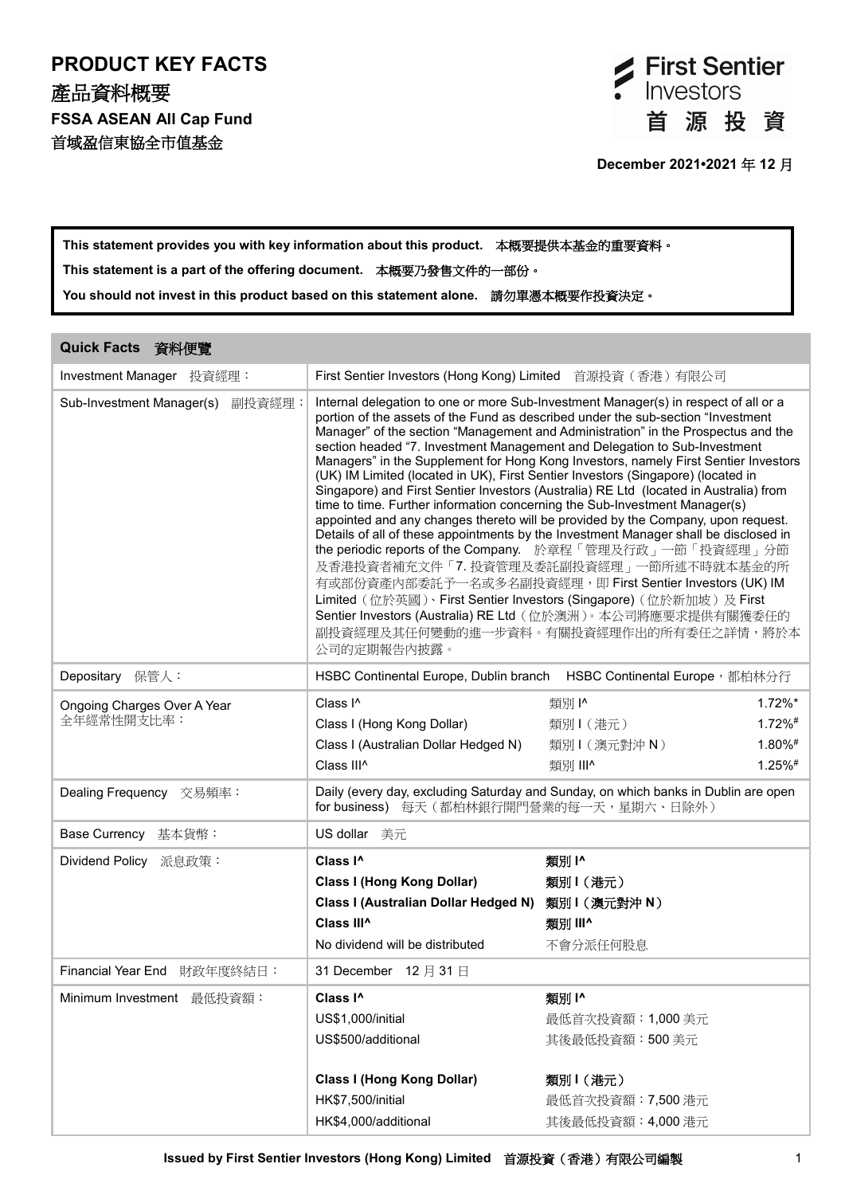## **PRODUCT KEY FACTS** 產品資料概要 **FSSA ASEAN All Cap Fund** 首域盈信東協全市值基金



# **This statement provides you with key information about this product.** 本概要提供本基金的重要資料。

**This statement is a part of the offering document.** 本概要乃發售文件的一部份。

**You should not invest in this product based on this statement alone.** 請勿單憑本概要作投資決定。

| Quick Facts 資料便覽                          |                                                                                                                                                                                                                                                                                                                                                                                                                                                                                                                                                                                                                                                                                                                                                                                                                                                                                                                                                                                                                                                                                                                                                                                                                                           |                                                                                                 |  |
|-------------------------------------------|-------------------------------------------------------------------------------------------------------------------------------------------------------------------------------------------------------------------------------------------------------------------------------------------------------------------------------------------------------------------------------------------------------------------------------------------------------------------------------------------------------------------------------------------------------------------------------------------------------------------------------------------------------------------------------------------------------------------------------------------------------------------------------------------------------------------------------------------------------------------------------------------------------------------------------------------------------------------------------------------------------------------------------------------------------------------------------------------------------------------------------------------------------------------------------------------------------------------------------------------|-------------------------------------------------------------------------------------------------|--|
| Investment Manager 投資經理:                  | First Sentier Investors (Hong Kong) Limited<br>首源投資(香港)有限公司                                                                                                                                                                                                                                                                                                                                                                                                                                                                                                                                                                                                                                                                                                                                                                                                                                                                                                                                                                                                                                                                                                                                                                               |                                                                                                 |  |
| Sub-Investment Manager(s)<br>副投資經理:       | Internal delegation to one or more Sub-Investment Manager(s) in respect of all or a<br>portion of the assets of the Fund as described under the sub-section "Investment<br>Manager" of the section "Management and Administration" in the Prospectus and the<br>section headed "7. Investment Management and Delegation to Sub-Investment<br>Managers" in the Supplement for Hong Kong Investors, namely First Sentier Investors<br>(UK) IM Limited (located in UK), First Sentier Investors (Singapore) (located in<br>Singapore) and First Sentier Investors (Australia) RE Ltd (located in Australia) from<br>time to time. Further information concerning the Sub-Investment Manager(s)<br>appointed and any changes thereto will be provided by the Company, upon request.<br>Details of all of these appointments by the Investment Manager shall be disclosed in<br>the periodic reports of the Company. 於章程「管理及行政」一節「投資經理」分節<br>及香港投資者補充文件「7. 投資管理及委託副投資經理」一節所述不時就本基金的所<br>有或部份資產內部委託予一名或多名副投資經理, 即 First Sentier Investors (UK) IM<br>Limited (位於英國)、First Sentier Investors (Singapore) (位於新加坡) 及 First<br>Sentier Investors (Australia) RE Ltd (位於澳洲)。本公司將應要求提供有關獲委任的<br>副投資經理及其任何變動的進一步資料。有關投資經理作出的所有委任之詳情,將於本<br>公司的定期報告內披露。 |                                                                                                 |  |
| Depositary 保管人:                           |                                                                                                                                                                                                                                                                                                                                                                                                                                                                                                                                                                                                                                                                                                                                                                                                                                                                                                                                                                                                                                                                                                                                                                                                                                           | HSBC Continental Europe, Dublin branch HSBC Continental Europe,都柏林分行                            |  |
| Ongoing Charges Over A Year<br>全年經常性開支比率: | Class I <sup>^</sup><br>Class I (Hong Kong Dollar)<br>Class I (Australian Dollar Hedged N)<br>Class III <sup>^</sup>                                                                                                                                                                                                                                                                                                                                                                                                                                                                                                                                                                                                                                                                                                                                                                                                                                                                                                                                                                                                                                                                                                                      | 類別  ^<br>$1.72\%$ *<br>$1.72\%$ #<br>類別1(港元)<br>1.80%#<br>類別1(澳元對沖N)<br>1.25%#<br>類別 III^       |  |
| Dealing Frequency 交易頻率:                   | Daily (every day, excluding Saturday and Sunday, on which banks in Dublin are open<br>for business) 每天(都柏林銀行開門營業的每一天,星期六、日除外)                                                                                                                                                                                                                                                                                                                                                                                                                                                                                                                                                                                                                                                                                                                                                                                                                                                                                                                                                                                                                                                                                                             |                                                                                                 |  |
| Base Currency 基本貨幣:                       | US dollar 美元                                                                                                                                                                                                                                                                                                                                                                                                                                                                                                                                                                                                                                                                                                                                                                                                                                                                                                                                                                                                                                                                                                                                                                                                                              |                                                                                                 |  |
| Dividend Policy 派息政策:                     | Class I <sup>^</sup><br><b>Class I (Hong Kong Dollar)</b><br>Class I (Australian Dollar Hedged N)<br>Class III <sup>^</sup><br>No dividend will be distributed                                                                                                                                                                                                                                                                                                                                                                                                                                                                                                                                                                                                                                                                                                                                                                                                                                                                                                                                                                                                                                                                            | 類別1^<br>類別1(港元)<br>類別1 (澳元對沖 N)<br>類別 III^<br>不會分派任何股息                                          |  |
| Financial Year End 財政年度終結日:               | 31 December 12 月 31 日                                                                                                                                                                                                                                                                                                                                                                                                                                                                                                                                                                                                                                                                                                                                                                                                                                                                                                                                                                                                                                                                                                                                                                                                                     |                                                                                                 |  |
| Minimum Investment 最低投資額:                 | Class I <sup>^</sup><br>US\$1,000/initial<br>US\$500/additional<br><b>Class I (Hong Kong Dollar)</b><br>HK\$7,500/initial<br>HK\$4,000/additional                                                                                                                                                                                                                                                                                                                                                                                                                                                                                                                                                                                                                                                                                                                                                                                                                                                                                                                                                                                                                                                                                         | 類別1^<br>最低首次投資額: 1,000 美元<br>其後最低投資額:500美元<br>類別1(港元)<br>最低首次投資額: 7,500 港元<br>其後最低投資額: 4,000 港元 |  |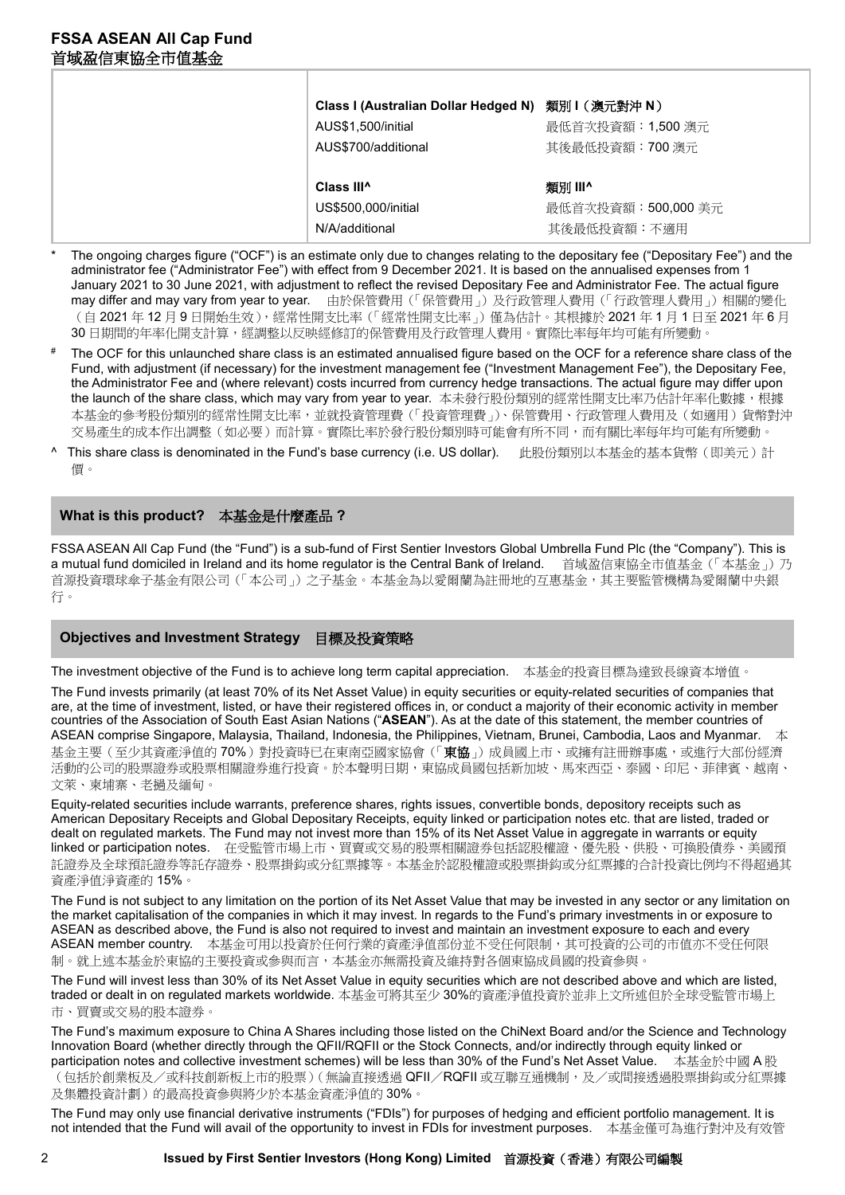| Class I (Australian Dollar Hedged N) 類別 I (澳元對沖 N)<br>AUS\$1,500/initial | 最低首次投資額: 1,500 澳元                 |
|--------------------------------------------------------------------------|-----------------------------------|
| AUS\$700/additional<br>Class III <sup>^</sup>                            | 其後最低投資額:700 澳元<br>類別 III^         |
| US\$500,000/initial<br>N/A/additional                                    | 最低首次投資額:500,000 美元<br>其後最低投資額:不適用 |

- The ongoing charges figure ("OCF") is an estimate only due to changes relating to the depositary fee ("Depositary Fee") and the administrator fee ("Administrator Fee") with effect from 9 December 2021. It is based on the annualised expenses from 1 January 2021 to 30 June 2021, with adjustment to reflect the revised Depositary Fee and Administrator Fee. The actual figure may differ and may vary from year to year. 由於保管費用(「保管費用」)及行政管理人費用(「行政管理人費用」)相關的變化 (自 2021年12月9日開始生效),經常性開支比率(「經常性開支比率」)僅為估計。其根據於 2021年1月1日至 2021年6月 30 日期間的年率化開支計算,經調整以反映經修訂的保管費用及行政管理人費用。實際比率每年均可能有所變動
- # The OCF for this unlaunched share class is an estimated annualised figure based on the OCF for a reference share class of the Fund, with adjustment (if necessary) for the investment management fee ("Investment Management Fee"), the Depositary Fee, the Administrator Fee and (where relevant) costs incurred from currency hedge transactions. The actual figure may differ upon the launch of the share class, which may vary from year to year. 本未發行股份類別的經常性開支比率乃估計年率化數據,根據 本基金的參考股份類別的經常性開支比率,並就投資管理費(「投資管理費」)、保管費用、行政管理人費用及(如適用)貨幣對沖 交易產生的成本作出調整(如必要)而計算。實際比率於發行股份類別時可能會有所不同,而有關比率每年均可能有所變動。
- This share class is denominated in the Fund's base currency (i.e. US dollar). 此股份類別以本基金的基本貨幣(即美元)計 價。

## **What is this product?** 本基金是什麼產品 **?**

FSSA ASEAN All Cap Fund (the "Fund") is a sub-fund of First Sentier Investors Global Umbrella Fund Plc (the "Company"). This is a mutual fund domiciled in Ireland and its home regulator is the Central Bank of Ireland. 首域盈信東協全市值基金(「本基金」)乃 首源投資環球傘子基金有限公司(「本公司」)之子基金。本基金為以愛爾蘭為註冊地的互惠基金,其主要監管機構為愛爾蘭中央銀 行。

## **Objectives and Investment Strategy** 目標及投資策略

The investment objective of the Fund is to achieve long term capital appreciation. 本基金的投資目標為達致長線資本增值。

The Fund invests primarily (at least 70% of its Net Asset Value) in equity securities or equity-related securities of companies that are, at the time of investment, listed, or have their registered offices in, or conduct a majority of their economic activity in member countries of the Association of South East Asian Nations ("**ASEAN**"). As at the date of this statement, the member countries of ASEAN comprise Singapore, Malaysia, Thailand, Indonesia, the Philippines, Vietnam, Brunei, Cambodia, Laos and Myanmar. 本 基金主要(至少其資產淨值的70%)對投資時已在東南亞國家協會(「東協」)成員國上市、或擁有註冊辦事處,或進行大部份經濟 活動的公司的股票證券或股票相關證券進行投資。於本聲明日期,東協成員國包括新加坡、馬來西亞、泰國、印尼、菲律賓、越南、 文萊、柬埔寨、老撾及緬甸。

Equity-related securities include warrants, preference shares, rights issues, convertible bonds, depository receipts such as American Depositary Receipts and Global Depositary Receipts, equity linked or participation notes etc. that are listed, traded or dealt on regulated markets. The Fund may not invest more than 15% of its Net Asset Value in aggregate in warrants or equity linked or participation notes. 在受監管市場上市、買賣或交易的股票相關證券包括認股權證、優先股、供股、可換股債券、美國預 託證券及全球預託證券等託存證券、股票掛鈎或分紅票據等。本基金於認股權證或股票掛鈎或分紅票據的合計投資比例均不得超過其 資產淨值淨資產的 15%。

The Fund is not subject to any limitation on the portion of its Net Asset Value that may be invested in any sector or any limitation on the market capitalisation of the companies in which it may invest. In regards to the Fund's primary investments in or exposure to ASEAN as described above, the Fund is also not required to invest and maintain an investment exposure to each and every ASEAN member country. 本基金可用以投資於任何行業的資產淨值部份並不受任何限制,其可投資的公司的市值亦不受任何限 制。就上述本基金於東協的主要投資或參與而言,本基金亦無需投資及維持對各個東協成員國的投資參與。

The Fund will invest less than 30% of its Net Asset Value in equity securities which are not described above and which are listed, traded or dealt in on regulated markets worldwide. 本基金可將其至少 30%的資產淨值投資於並非上文所述但於全球受監管市場上 市、買賣或交易的股本證券

The Fund's maximum exposure to China A Shares including those listed on the ChiNext Board and/or the Science and Technology Innovation Board (whether directly through the QFII/RQFII or the Stock Connects, and/or indirectly through equity linked or participation notes and collective investment schemes) will be less than 30% of the Fund's Net Asset Value. 本基金於中國 A 股 (包括於創業板及/或科技創新板上市的股票)(無論直接透過 QFII/RQFII 或互聯互通機制,及/或間接透過股票掛鈎或分紅票據 及集體投資計劃)的最高投資參與將少於本基金資產淨值的 30%。

The Fund may only use financial derivative instruments ("FDIs") for purposes of hedging and efficient portfolio management. It is not intended that the Fund will avail of the opportunity to invest in FDIs for investment purposes. 本基金僅可為進行對沖及有效管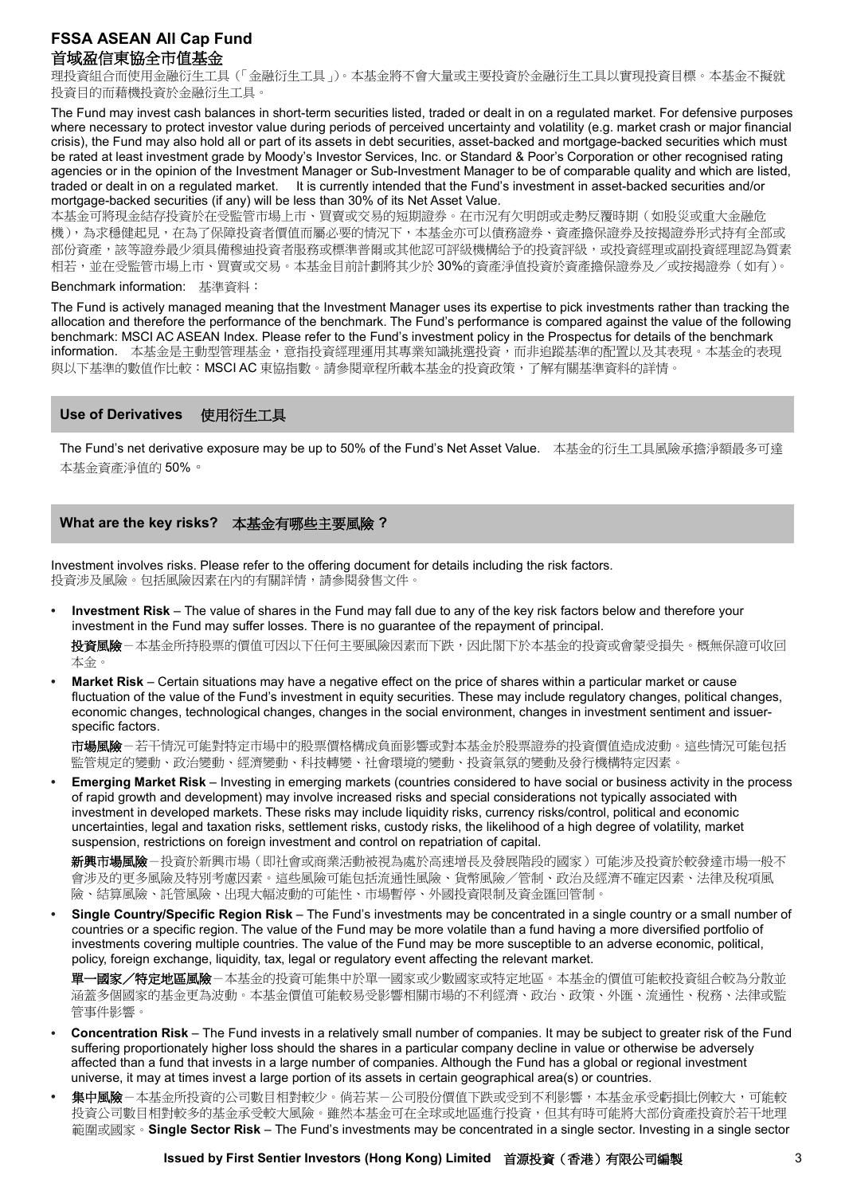理投資組合而使用金融衍生工具(「金融衍生工具」)。本基金將不會大量或主要投資於金融衍生工具以實現投資目標。本基金不擬就 投資目的而藉機投資於金融衍生工具。

The Fund may invest cash balances in short-term securities listed, traded or dealt in on a regulated market. For defensive purposes where necessary to protect investor value during periods of perceived uncertainty and volatility (e.g. market crash or major financial crisis), the Fund may also hold all or part of its assets in debt securities, asset-backed and mortgage-backed securities which must be rated at least investment grade by Moody's Investor Services, Inc. or Standard & Poor's Corporation or other recognised rating agencies or in the opinion of the Investment Manager or Sub-Investment Manager to be of comparable quality and which are listed, traded or dealt in on a regulated market. It is currently intended that the Fund's investment in asset-backed securities and/or mortgage-backed securities (if any) will be less than 30% of its Net Asset Value.

本基金可將現金結存投資於在受監管市場上市、買賣或交易的短期證券。在市況有欠明朗或走勢反覆時期(如股災或重大金融危 機),為求穩健起見,在為了保障投資者價值而屬必要的情況下,本基金亦可以債務證券、資產擔保證券及按揭證券形式持有全部或 部份資產,該等證券最少須具備穆迪投資者服務或標準普爾或其他認可評級機構給予的投資評級,或投資經理或副投資經理認為質素 相若,並在受監管市場上市、買賣或交易。本基金目前計劃將其少於 30%的資產淨值投資於資產擔保證券及/或按揭證券(如有)。

#### Benchmark information: 基準資料:

The Fund is actively managed meaning that the Investment Manager uses its expertise to pick investments rather than tracking the allocation and therefore the performance of the benchmark. The Fund's performance is compared against the value of the following benchmark: MSCI AC ASEAN Index. Please refer to the Fund's investment policy in the Prospectus for details of the benchmark information. 本基金是主動型管理基金,意指投資經理運用其專業知識挑選投資,而非追蹤基準的配置以及其表現。本基金的表現 與以下基準的數值作比較:MSCI AC 東協指數。請參閱章程所載本基金的投資政策,了解有關基準資料的詳情。

#### **Use of Derivatives** 使用衍生工具

The Fund's net derivative exposure may be up to 50% of the Fund's Net Asset Value. 本基金的衍生工具風險承擔淨額最多可達 本基金資產淨值的 50%。

## **What are the key risks?** 本基金有哪些主要風險 **?**

Investment involves risks. Please refer to the offering document for details including the risk factors. 投資涉及風險。包括風險因素在內的有關詳情,請參閱發售文件。

**• Investment Risk** – The value of shares in the Fund may fall due to any of the key risk factors below and therefore your investment in the Fund may suffer losses. There is no guarantee of the repayment of principal.

投資風險-本基金所持股票的價值可因以下任何主要風險因素而下跌,因此閣下於本基金的投資或會蒙受損失。概無保證可收回 本金。

**• Market Risk** – Certain situations may have a negative effect on the price of shares within a particular market or cause fluctuation of the value of the Fund's investment in equity securities. These may include regulatory changes, political changes, economic changes, technological changes, changes in the social environment, changes in investment sentiment and issuerspecific factors.

市場風險-若干情況可能對特定市場中的股票價格構成負面影響或對本基金於股票證券的投資價值造成波動。這些情況可能包括 監管規定的變動、政治變動、經濟變動、科技轉變、社會環境的變動、投資氣氛的變動及發行機構特定因素。

**• Emerging Market Risk** – Investing in emerging markets (countries considered to have social or business activity in the process of rapid growth and development) may involve increased risks and special considerations not typically associated with investment in developed markets. These risks may include liquidity risks, currency risks/control, political and economic uncertainties, legal and taxation risks, settlement risks, custody risks, the likelihood of a high degree of volatility, market suspension, restrictions on foreign investment and control on repatriation of capital.

新興市場風險-投資於新興市場(即社會或商業活動被視為處於高速增長及發展階段的國家)可能涉及投資於較發達市場一般不 會涉及的更多風險及特別考慮因素。這些風險可能包括流通性風險、貨幣風險/管制、政治及經濟不確定因素、法律及稅項風 險、結算風險、託管風險、出現大幅波動的可能性、市場暫停、外國投資限制及資金匯回管制。

**• Single Country/Specific Region Risk** – The Fund's investments may be concentrated in a single country or a small number of countries or a specific region. The value of the Fund may be more volatile than a fund having a more diversified portfolio of investments covering multiple countries. The value of the Fund may be more susceptible to an adverse economic, political, policy, foreign exchange, liquidity, tax, legal or regulatory event affecting the relevant market.

軍一國家/特定地區風險-本基金的投資可能集中於單一國家或少數國家或特定地區。本基金的價值可能較投資組合較為分散並 涵蓋多個國家的基金更為波動。本基金價值可能較易受影響相關市場的不利經濟、政治、政策、外匯、流通性、稅務、法律或監 管事件影響。

- **• Concentration Risk**  The Fund invests in a relatively small number of companies. It may be subject to greater risk of the Fund suffering proportionately higher loss should the shares in a particular company decline in value or otherwise be adversely affected than a fund that invests in a large number of companies. Although the Fund has a global or regional investment universe, it may at times invest a large portion of its assets in certain geographical area(s) or countries.
- **•** 集中風險-本基金所投資的公司數目相對較少。倘若某-公司股份價值下跌或受到不利影響,本基金承受虧損比例較大,可能較 投資公司數目相對較多的基金承受較大風險。雖然本基金可在全球或地區進行投資,但其有時可能將大部份資產投資於若干地理 範圍或國家。**Single Sector Risk** – The Fund's investments may be concentrated in a single sector. Investing in a single sector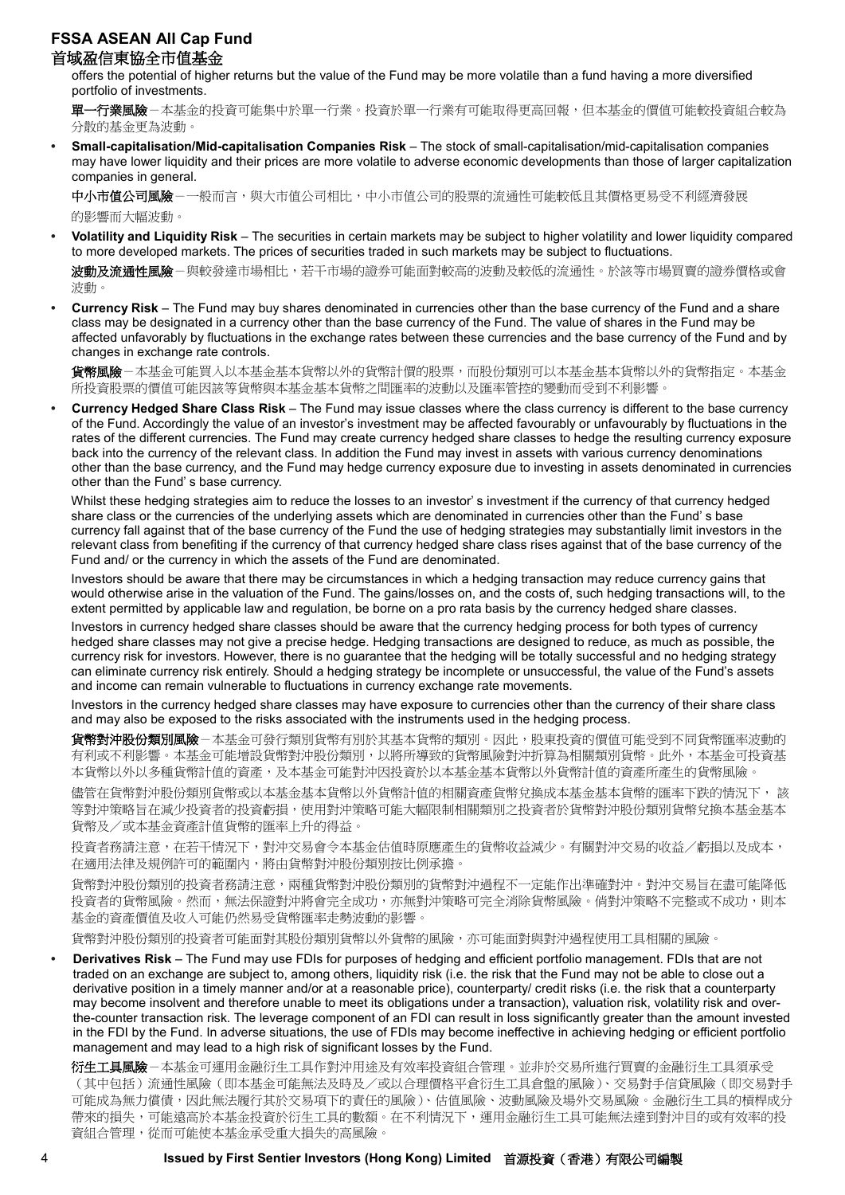offers the potential of higher returns but the value of the Fund may be more volatile than a fund having a more diversified portfolio of investments.

**單一行業風險**-本基金的投資可能集中於單一行業。投資於單一行業有可能取得更高回報,但本基金的價值可能較投資組合較為 分散的基金更為波動

**• Small-capitalisation/Mid-capitalisation Companies Risk** – The stock of small-capitalisation/mid-capitalisation companies may have lower liquidity and their prices are more volatile to adverse economic developments than those of larger capitalization companies in general.

中小市值公司風險-一般而言,與大市值公司相比,中小市值公司的股票的流通性可能較低且其價格更易受不利經濟發展 的影響而大幅波動。

**• Volatility and Liquidity Risk** – The securities in certain markets may be subject to higher volatility and lower liquidity compared to more developed markets. The prices of securities traded in such markets may be subject to fluctuations.

波動及流通性風險-與較發達市場相比,若干市場的證券可能面對較高的波動及較低的流通性。於該等市場買賣的證券價格或會 波動。

**• Currency Risk** – The Fund may buy shares denominated in currencies other than the base currency of the Fund and a share class may be designated in a currency other than the base currency of the Fund. The value of shares in the Fund may be affected unfavorably by fluctuations in the exchange rates between these currencies and the base currency of the Fund and by changes in exchange rate controls.

貨幣風險-本基金可能買入以本基金基本貨幣以外的貨幣計價的股票,而股份類別可以本基金基本貨幣以外的貨幣指定。本基金 所投資股票的價值可能因該等貨幣與本基金基本貨幣之間匯率的波動以及匯率管控的變動而受到不利影響

**• Currency Hedged Share Class Risk** – The Fund may issue classes where the class currency is different to the base currency of the Fund. Accordingly the value of an investor's investment may be affected favourably or unfavourably by fluctuations in the rates of the different currencies. The Fund may create currency hedged share classes to hedge the resulting currency exposure back into the currency of the relevant class. In addition the Fund may invest in assets with various currency denominations other than the base currency, and the Fund may hedge currency exposure due to investing in assets denominated in currencies other than the Fund' s base currency.

Whilst these hedging strategies aim to reduce the losses to an investor' s investment if the currency of that currency hedged share class or the currencies of the underlying assets which are denominated in currencies other than the Fund' s base currency fall against that of the base currency of the Fund the use of hedging strategies may substantially limit investors in the relevant class from benefiting if the currency of that currency hedged share class rises against that of the base currency of the Fund and/ or the currency in which the assets of the Fund are denominated.

Investors should be aware that there may be circumstances in which a hedging transaction may reduce currency gains that would otherwise arise in the valuation of the Fund. The gains/losses on, and the costs of, such hedging transactions will, to the extent permitted by applicable law and regulation, be borne on a pro rata basis by the currency hedged share classes.

Investors in currency hedged share classes should be aware that the currency hedging process for both types of currency hedged share classes may not give a precise hedge. Hedging transactions are designed to reduce, as much as possible, the currency risk for investors. However, there is no guarantee that the hedging will be totally successful and no hedging strategy can eliminate currency risk entirely. Should a hedging strategy be incomplete or unsuccessful, the value of the Fund's assets and income can remain vulnerable to fluctuations in currency exchange rate movements.

Investors in the currency hedged share classes may have exposure to currencies other than the currency of their share class and may also be exposed to the risks associated with the instruments used in the hedging process.

**貨幣對沖股份類別風險**-本基金可發行類別貨幣有別於其基本貨幣的類別。因此,股東投資的價值可能受到不同貨幣匯率波動的 有利或不利影響。本基金可能增設貨幣對沖股份類別,以將所導致的貨幣風險對沖折算為相關類別貨幣。此外,本基金可投資基 本貨幣以外以多種貨幣計值的資產,及本基金可能對沖因投資於以本基金基本貨幣以外貨幣計值的資產所產生的貨幣風險。

儘管在貨幣對沖股份類別貨幣或以本基金基本貨幣以外貨幣計值的相關資產貨幣兌換成本基金基本貨幣的匯率下跌的情況下, 該 等對沖策略旨在減少投資者的投資虧損,使用對沖策略可能大幅限制相關類別之投資者於貨幣對沖股份類別貨幣兌換本基金基本 貨幣及/或本基金資產計值貨幣的匯率上升的得益。

投資者務請注意,在若干情況下,對沖交易會令本基金估值時原應產生的貨幣收益減少。有關對沖交易的收益/虧損以及成本, 在適用法律及規例許可的範圍內,將由貨幣對沖股份類別按比例承擔。

貨幣對沖股份類別的投資者務請注意,兩種貨幣對沖股份類別的貨幣對沖過程不一定能作出準確對沖。對沖交易旨在盡可能降低 投資者的貨幣風險。然而,無法保證對沖將會完全成功,亦無對沖策略可完全消除貨幣風險。倘對沖策略不完整或不成功,則本 基金的資產價值及收入可能仍然易受貨幣匯率走勢波動的影響。

貨幣對沖股份類別的投資者可能面對其股份類別貨幣以外貨幣的風險,亦可能面對與對沖過程使用工具相關的風險。

**• Derivatives Risk** – The Fund may use FDIs for purposes of hedging and efficient portfolio management. FDIs that are not traded on an exchange are subject to, among others, liquidity risk (i.e. the risk that the Fund may not be able to close out a derivative position in a timely manner and/or at a reasonable price), counterparty/ credit risks (i.e. the risk that a counterparty may become insolvent and therefore unable to meet its obligations under a transaction), valuation risk, volatility risk and overthe-counter transaction risk. The leverage component of an FDI can result in loss significantly greater than the amount invested in the FDI by the Fund. In adverse situations, the use of FDIs may become ineffective in achieving hedging or efficient portfolio management and may lead to a high risk of significant losses by the Fund.

**衍生工具風險**-本基金可運用金融衍生工具作對沖用途及有效率投資組合管理。並非於交易所進行買賣的金融衍生工具須承受 (其中包括)流通性風險(即本基金可能無法及時及/或以合理價格平倉衍生工具倉盤的風險)、交易對手信貸風險(即交易對手 可能成為無力償債,因此無法履行其於交易項下的責任的風險)、估值風險、波動風險及場外交易風險。金融衍生工具的槓桿成分 帶來的損失,可能遠高於本基金投資於衍生工具的數額。在不利情況下,運用金融衍生工具可能無法達到對沖目的或有效率的投 資組合管理,從而可能使本基金承受重大損失的高風險。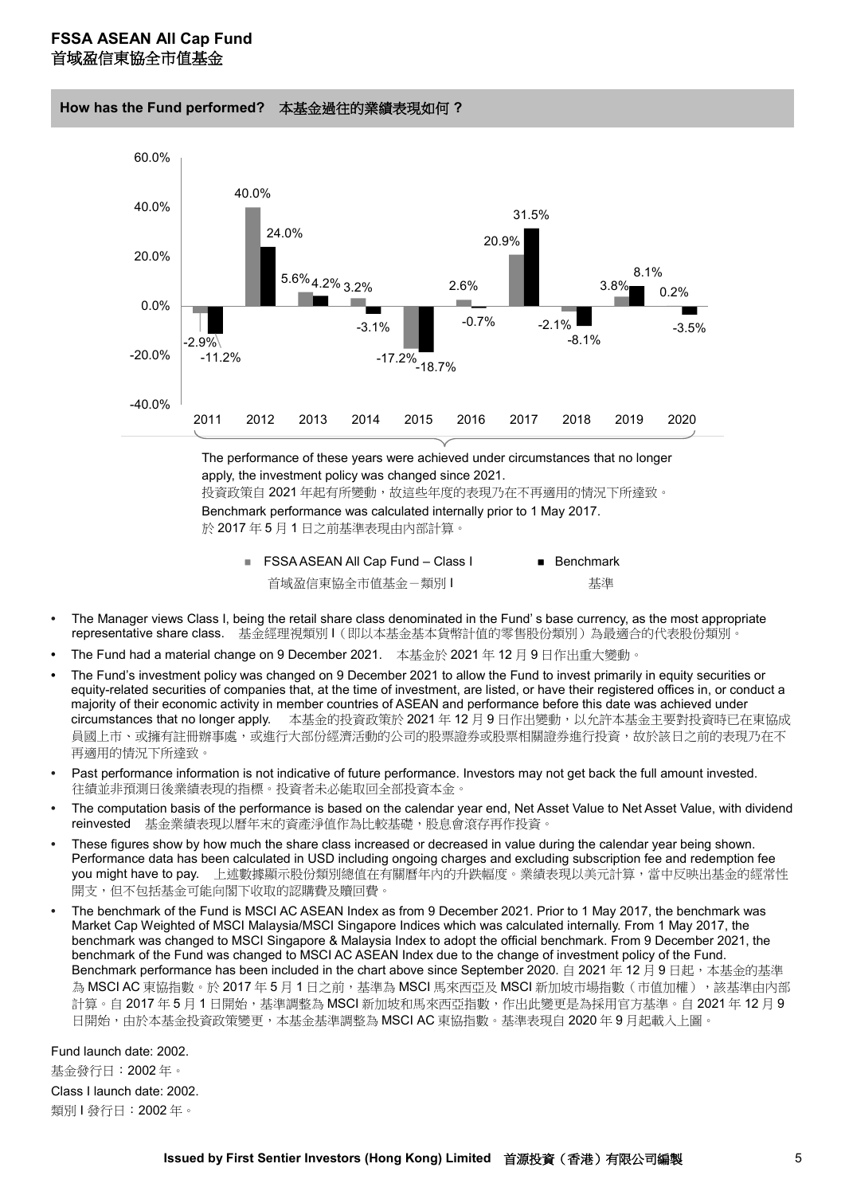**How has the Fund performed?** 本基金過往的業績表現如何 **?** 



於 2017 年 5 月 1 日之前基準表現由內部計算。

- FSSA ASEAN All Cap Fund Class I Benchmark 首域盈信東協全市值基金 - 類別 I インコン - 基準
- **•** The Manager views Class I, being the retail share class denominated in the Fund' s base currency, as the most appropriate representative share class. 基金經理視類別 I(即以本基金基本貨幣計值的零售股份類別)為最適合的代表股份類別。
- **•** The Fund had a material change on 9 December 2021. 本基金於 2021 年 12 月 9 日作出重大變動。
- **•** The Fund's investment policy was changed on 9 December 2021 to allow the Fund to invest primarily in equity securities or equity-related securities of companies that, at the time of investment, are listed, or have their registered offices in, or conduct a majority of their economic activity in member countries of ASEAN and performance before this date was achieved under circumstances that no longer apply. 本基金的投資政策於 2021 年 12 月 9 日作出變動, 以允許本基金主要對投資時已在東協成 員國上市、或擁有註冊辦事處,或進行大部份經濟活動的公司的股票證券或股票相關證券進行投資,故於該日之前的表現乃在不 再適用的情況下所達致。
- **•** Past performance information is not indicative of future performance. Investors may not get back the full amount invested. 往績並非預測日後業績表現的指標。投資者未必能取回全部投資本金。
- **•** The computation basis of the performance is based on the calendar year end, Net Asset Value to Net Asset Value, with dividend reinvested 基金業績表現以曆年末的資產淨值作為比較基礎,股息會滾存再作投資。
- **•** These figures show by how much the share class increased or decreased in value during the calendar year being shown. Performance data has been calculated in USD including ongoing charges and excluding subscription fee and redemption fee you might have to pay. 上述數據顯示股份類別總值在有關曆年內的升跌幅度。業績表現以美元計算,當中反映出基金的經常性 開支,但不包括基金可能向閣下收取的認購費及贖回費。
- **•** The benchmark of the Fund is MSCI AC ASEAN Index as from 9 December 2021. Prior to 1 May 2017, the benchmark was Market Cap Weighted of MSCI Malaysia/MSCI Singapore Indices which was calculated internally. From 1 May 2017, the benchmark was changed to MSCI Singapore & Malaysia Index to adopt the official benchmark. From 9 December 2021, the benchmark of the Fund was changed to MSCI AC ASEAN Index due to the change of investment policy of the Fund. Benchmark performance has been included in the chart above since September 2020. 自 2021年12月9日起,本基金的基準 為 MSCI AC 東協指數。於 2017 年 5 月 1 日之前,基準為 MSCI 馬來西亞及 MSCI 新加坡市場指數(市值加權),該基準由內部 計算。自 2017 年 5 月 1 日開始,基準調整為 MSCI 新加坡和馬來西亞指數,作出此變更是為採用官方基準。自 2021 年 12 月 9 日開始,由於本基金投資政策變更,本基金基準調整為 MSCI AC 東協指數。基準表現自 2020 年 9 月起載入上圖。

Fund launch date: 2002. 基金發行日:2002 年。

Class I launch date: 2002. 類別1發行日: 2002年。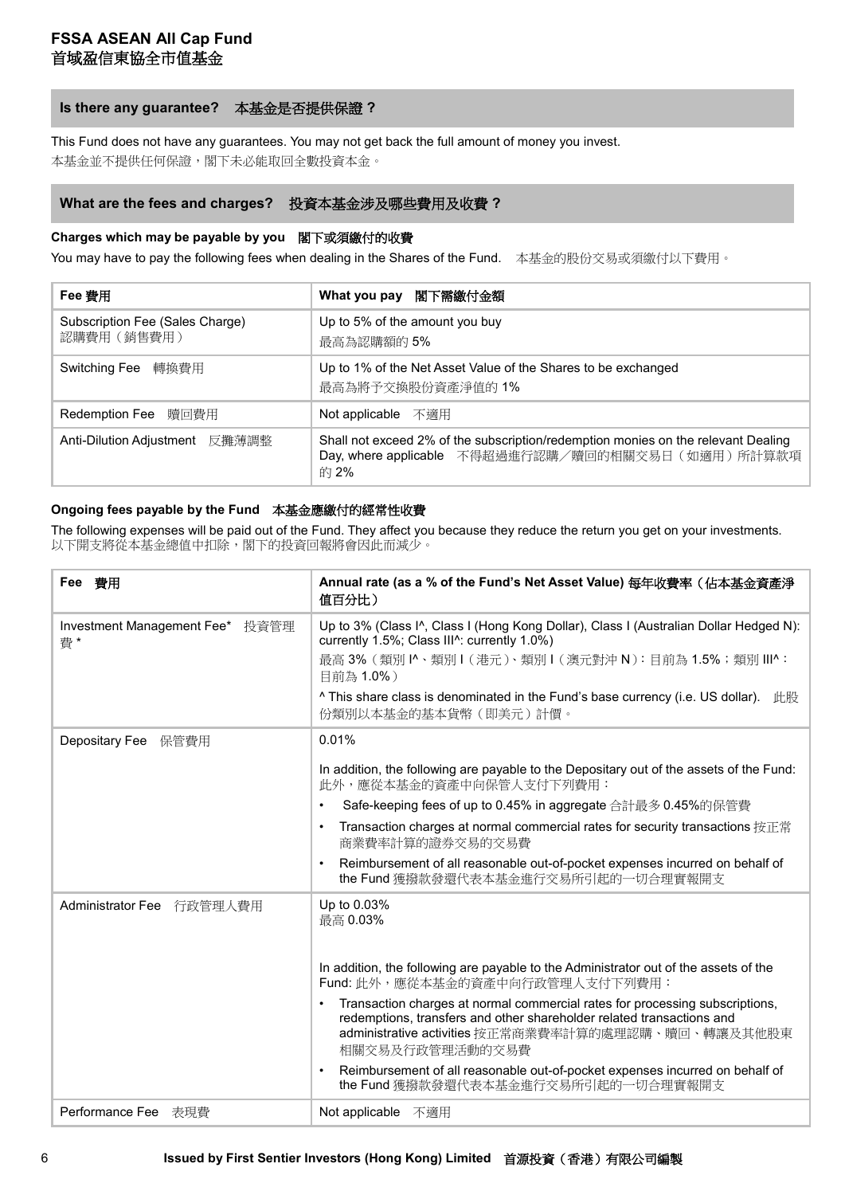## **Is there any guarantee?** 本基金是否提供保證 **?**

This Fund does not have any guarantees. You may not get back the full amount of money you invest. 本基金並不提供任何保證,閣下未必能取回全數投資本金。

## **What are the fees and charges?** 投資本基金涉及哪些費用及收費 **?**

#### **Charges which may be payable by you** 閣下或須繳付的收費

You may have to pay the following fees when dealing in the Shares of the Fund. 本基金的股份交易或須繳付以下費用。

| Fee 春用                                         | What you pay 閣下需繳付金額                                                                                                                            |  |
|------------------------------------------------|-------------------------------------------------------------------------------------------------------------------------------------------------|--|
| Subscription Fee (Sales Charge)<br>認購費用 (銷售費用) | Up to 5% of the amount you buy<br>最高為認購額的5%                                                                                                     |  |
| Switching Fee 轉換費用                             | Up to 1% of the Net Asset Value of the Shares to be exchanged<br>最高為將予交換股份資產淨值的 1%                                                              |  |
| Redemption Fee 贖回費用                            | Not applicable 不適用                                                                                                                              |  |
| Anti-Dilution Adjustment 反攤薄調整                 | Shall not exceed 2% of the subscription/redemption monies on the relevant Dealing<br>Day, where applicable 不得超過進行認購/贖回的相關交易日 (如適用)所計算款項<br>的 2% |  |

#### **Ongoing fees payable by the Fund** 本基金應繳付的經常性收費

The following expenses will be paid out of the Fund. They affect you because they reduce the return you get on your investments. 以下開支將從本基金總值中扣除,閣下的投資回報將會因此而減少。

| Fee 費用                                | Annual rate (as a % of the Fund's Net Asset Value) 每年收費率 (佔本基金資產淨<br>值百分比)                                                                                                                                                                   |
|---------------------------------------|----------------------------------------------------------------------------------------------------------------------------------------------------------------------------------------------------------------------------------------------|
| Investment Management Fee* 投資管理<br>費* | Up to 3% (Class I^, Class I (Hong Kong Dollar), Class I (Australian Dollar Hedged N):<br>currently 1.5%; Class III^: currently 1.0%)<br>最高 3% (類別 l^、類別 l (港元)、類別 l (澳元對沖 N): 目前為 1.5%; 類別 III^:<br>目前為 1.0%)                                |
|                                       | $\land$ This share class is denominated in the Fund's base currency (i.e. US dollar). $\#$<br>份類別以本基金的基本貨幣(即美元)計價。                                                                                                                           |
| Depositary Fee 保管費用                   | 0.01%                                                                                                                                                                                                                                        |
|                                       | In addition, the following are payable to the Depositary out of the assets of the Fund:<br>此外,應從本基金的資產中向保管人支付下列費用:                                                                                                                           |
|                                       | Safe-keeping fees of up to 0.45% in aggregate 合計最多 0.45%的保管費<br>$\bullet$                                                                                                                                                                    |
|                                       | Transaction charges at normal commercial rates for security transactions 按正常<br>$\bullet$<br>商業費率計算的證券交易的交易費                                                                                                                                 |
|                                       | Reimbursement of all reasonable out-of-pocket expenses incurred on behalf of<br>$\bullet$<br>the Fund 獲撥款發還代表本基金進行交易所引起的一切合理實報開支                                                                                                             |
| Administrator Fee 行政管理人費用             | Up to 0.03%<br>最高 0.03%                                                                                                                                                                                                                      |
|                                       | In addition, the following are payable to the Administrator out of the assets of the<br>Fund: 此外,應從本基金的資產中向行政管理人支付下列費用:                                                                                                                      |
|                                       | Transaction charges at normal commercial rates for processing subscriptions,<br>$\bullet$<br>redemptions, transfers and other shareholder related transactions and<br>administrative activities 按正常商業費率計算的處理認購、贖回、轉讓及其他股東<br>相關交易及行政管理活動的交易費 |
|                                       | Reimbursement of all reasonable out-of-pocket expenses incurred on behalf of<br>$\bullet$<br>the Fund 獲撥款發還代表本基金進行交易所引起的一切合理實報開支                                                                                                             |
| Performance Fee 表現費                   | Not applicable 不適用                                                                                                                                                                                                                           |